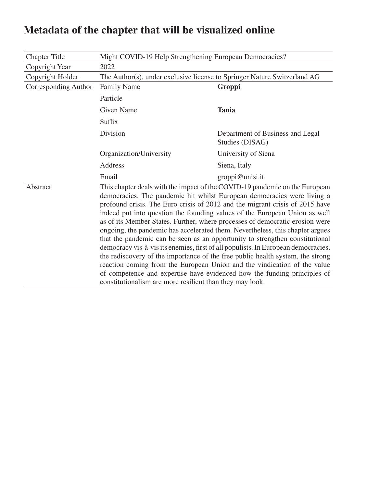| <b>Chapter Title</b> | Might COVID-19 Help Strengthening European Democracies?                                                                                                                                                                                                                                                                                                                                                                                                                                                                                                                                                                                                                                                                                                                                                                                                                                                                                                          |                                                     |  |
|----------------------|------------------------------------------------------------------------------------------------------------------------------------------------------------------------------------------------------------------------------------------------------------------------------------------------------------------------------------------------------------------------------------------------------------------------------------------------------------------------------------------------------------------------------------------------------------------------------------------------------------------------------------------------------------------------------------------------------------------------------------------------------------------------------------------------------------------------------------------------------------------------------------------------------------------------------------------------------------------|-----------------------------------------------------|--|
| Copyright Year       | 2022                                                                                                                                                                                                                                                                                                                                                                                                                                                                                                                                                                                                                                                                                                                                                                                                                                                                                                                                                             |                                                     |  |
| Copyright Holder     | The Author(s), under exclusive license to Springer Nature Switzerland AG                                                                                                                                                                                                                                                                                                                                                                                                                                                                                                                                                                                                                                                                                                                                                                                                                                                                                         |                                                     |  |
| Corresponding Author | <b>Family Name</b>                                                                                                                                                                                                                                                                                                                                                                                                                                                                                                                                                                                                                                                                                                                                                                                                                                                                                                                                               | Groppi                                              |  |
|                      | Particle                                                                                                                                                                                                                                                                                                                                                                                                                                                                                                                                                                                                                                                                                                                                                                                                                                                                                                                                                         |                                                     |  |
|                      | <b>Given Name</b>                                                                                                                                                                                                                                                                                                                                                                                                                                                                                                                                                                                                                                                                                                                                                                                                                                                                                                                                                | <b>Tania</b>                                        |  |
|                      | Suffix                                                                                                                                                                                                                                                                                                                                                                                                                                                                                                                                                                                                                                                                                                                                                                                                                                                                                                                                                           |                                                     |  |
|                      | Division                                                                                                                                                                                                                                                                                                                                                                                                                                                                                                                                                                                                                                                                                                                                                                                                                                                                                                                                                         | Department of Business and Legal<br>Studies (DISAG) |  |
|                      | Organization/University                                                                                                                                                                                                                                                                                                                                                                                                                                                                                                                                                                                                                                                                                                                                                                                                                                                                                                                                          | University of Siena                                 |  |
|                      | Address                                                                                                                                                                                                                                                                                                                                                                                                                                                                                                                                                                                                                                                                                                                                                                                                                                                                                                                                                          | Siena, Italy                                        |  |
|                      | Email                                                                                                                                                                                                                                                                                                                                                                                                                                                                                                                                                                                                                                                                                                                                                                                                                                                                                                                                                            | groppi@unisi.it                                     |  |
| Abstract             | This chapter deals with the impact of the COVID-19 pandemic on the European<br>democracies. The pandemic hit whilst European democracies were living a<br>profound crisis. The Euro crisis of 2012 and the migrant crisis of 2015 have<br>indeed put into question the founding values of the European Union as well<br>as of its Member States. Further, where processes of democratic erosion were<br>ongoing, the pandemic has accelerated them. Nevertheless, this chapter argues<br>that the pandemic can be seen as an opportunity to strengthen constitutional<br>democracy vis-à-vis its enemies, first of all populists. In European democracies,<br>the rediscovery of the importance of the free public health system, the strong<br>reaction coming from the European Union and the vindication of the value<br>of competence and expertise have evidenced how the funding principles of<br>constitutionalism are more resilient than they may look. |                                                     |  |

## **Metadata of the chapter that will be visualized online**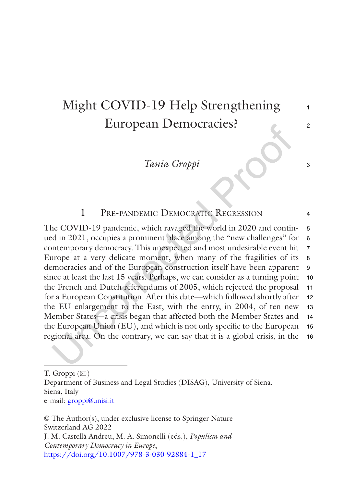### Might COVID-19 Help Strengthening European Democracies?

*Tania Groppi*

#### 1 Pre-pandemic Democratic Regression

The COVID-19 pandemic, which ravaged the world in 2020 and continued in 2021, occupies a prominent place among the "new challenges" for contemporary democracy. This unexpected and most undesirable event hit Europe at a very delicate moment, when many of the fragilities of its democracies and of the European construction itself have been apparent since at least the last 15 years. Perhaps, we can consider as a turning point the French and Dutch referendums of 2005, which rejected the proposal for a European Constitution. After this date—which followed shortly after the EU enlargement to the East, with the entry, in 2004, of ten new Member States—a crisis began that affected both the Member States and the European Union (EU), and which is not only specific to the European regional area. On the contrary, we can say that it is a global crisis, in the 5 6 7 8 9 10 11 12 13 14 15 16

© The Author(s), under exclusive license to Springer Nature Switzerland AG 2022 J. M. Castellà Andreu, M. A. Simonelli (eds.), *Populism and Contemporary Democracy in Europe*, [https://doi.org/10.1007/978-3-030-92884-1\\_17](https://doi.org/10.1007/978-3-030-92884-1_17#DOI)

3

4

T. Groppi  $(\boxtimes)$ 

Department of Business and Legal Studies (DISAG), University of Siena, Siena, Italy e-mail: [groppi@unisi.it](mailto:groppi@unisi.it)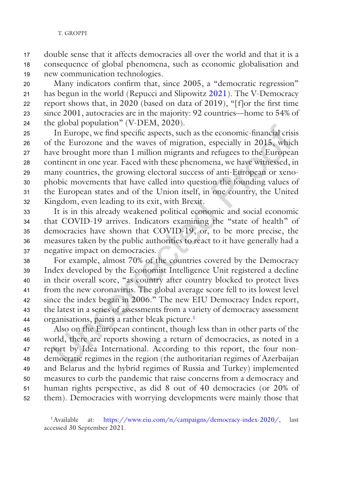#### T. GROPPI

double sense that it affects democracies all over the world and that it is a consequence of global phenomena, such as economic globalisation and new communication technologies. 17 18 19

Many indicators confirm that, since 2005, a "democratic regression" has begun in the world (Repucci and Slipowitz [2021](#page-8-0)). The V-Democracy report shows that, in 2020 (based on data of 2019), "[f]or the first time since 2001, autocracies are in the majority: 92 countries—home to 54% of the global population" (V-DEM, 2020).  $20$ 21 22 23 24

In Europe, we find specific aspects, such as the economic-financial crisis of the Eurozone and the waves of migration, especially in 2015, which have brought more than 1 million migrants and refugees to the European continent in one year. Faced with these phenomena, we have witnessed, in many countries, the growing electoral success of anti-European or xenophobic movements that have called into question the founding values of the European states and of the Union itself, in one country, the United Kingdom, even leading to its exit, with Brexit. 25 26 27 28 29 30 31 32

It is in this already weakened political economic and social economic that COVID-19 arrives. Indicators examining the "state of health" of democracies have shown that COVID-19, or, to be more precise, the measures taken by the public authorities to react to it have generally had a negative impact on democracies. 33 34 35 36 37

For example, almost 70% of the countries covered by the Democracy Index developed by the Economist Intelligence Unit registered a decline in their overall score, "as country after country blocked to protect lives from the new coronavirus. The global average score fell to its lowest level since the index began in 2006." The new EIU Democracy Index report, the latest in a series of assessments from a variety of democracy assessment organisations, paints a rather bleak picture.1 38 39 40 41 42 43 44

Also on the European continent, though less than in other parts of the world, there are reports showing a return of democracies, as noted in a report by Idea International. According to this report, the four nondemocratic regimes in the region (the authoritarian regimes of Azerbaijan and Belarus and the hybrid regimes of Russia and Turkey) implemented measures to curb the pandemic that raise concerns from a democracy and human rights perspective, as did 8 out of 40 democracies (or 20% of them). Democracies with worrying developments were mainly those that 45 46 47 48 49 50 51 52

<sup>1</sup>Available at: <https://www.eiu.com/n/campaigns/democracy-index-2020/>, last accessed 30 September 2021.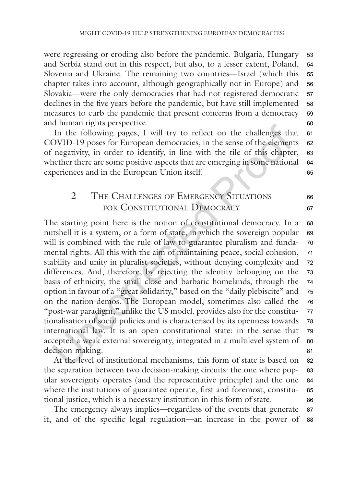were regressing or eroding also before the pandemic. Bulgaria, Hungary and Serbia stand out in this respect, but also, to a lesser extent, Poland, Slovenia and Ukraine. The remaining two countries—Israel (which this chapter takes into account, although geographically not in Europe) and Slovakia—were the only democracies that had not registered democratic declines in the five years before the pandemic, but have still implemented measures to curb the pandemic that present concerns from a democracy and human rights perspective. 53 54 55 56 57 58 59  $60$ 

In the following pages, I will try to reflect on the challenges that COVID-19 poses for European democracies, in the sense of the elements of negativity, in order to identify, in line with the tile of this chapter, whether there are some positive aspects that are emerging in some national experiences and in the European Union itself. 61 62 63 64 65

#### 2 THE CHALLENGES OF EMERGENCY SITUATIONS for Constitutional Democracy

The starting point here is the notion of constitutional democracy. In a nutshell it is a system, or a form of state, in which the sovereign popular will is combined with the rule of law to guarantee pluralism and fundamental rights. All this with the aim of maintaining peace, social cohesion, stability and unity in pluralist societies, without denying complexity and differences. And, therefore, by rejecting the identity belonging on the basis of ethnicity, the small close and barbaric homelands, through the option in favour of a "great solidarity," based on the "daily plebiscite" and on the nation-demos. The European model, sometimes also called the "post-war paradigm," unlike the US model, provides also for the constitutionalisation of social policies and is characterised by its openness towards international law. It is an open constitutional state: in the sense that accepted a weak external sovereignty, integrated in a multilevel system of decision-making. 68 69 70 71 72 73 74 75 76 77 78 79 80 81

At the level of institutional mechanisms, this form of state is based on the separation between two decision-making circuits: the one where popular sovereignty operates (and the representative principle) and the one where the institutions of guarantee operate, first and foremost, constitutional justice, which is a necessary institution in this form of state. 82 83 84 85 86

The emergency always implies—regardless of the events that generate it, and of the specific legal regulation—an increase in the power of 87 88

66 67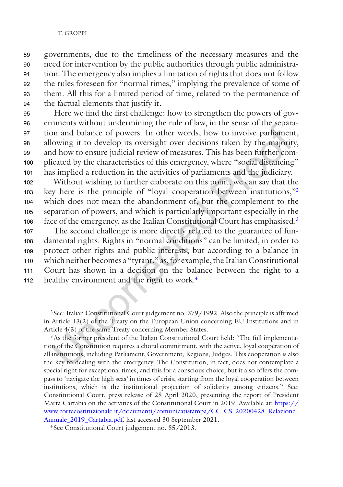#### T. GROPPI

governments, due to the timeliness of the necessary measures and the need for intervention by the public authorities through public administration. The emergency also implies a limitation of rights that does not follow the rules foreseen for "normal times," implying the prevalence of some of them. All this for a limited period of time, related to the permanence of the factual elements that justify it. 89 90 91 92 93 94

Here we find the first challenge: how to strengthen the powers of governments without undermining the rule of law, in the sense of the separation and balance of powers. In other words, how to involve parliament, allowing it to develop its oversight over decisions taken by the majority, and how to ensure judicial review of measures. This has been further complicated by the characteristics of this emergency, where "social distancing" has implied a reduction in the activities of parliaments and the judiciary. 95 96 97 98 99 100 101

Without wishing to further elaborate on this point, we can say that the key here is the principle of "loyal cooperation between institutions,"2 which does not mean the abandonment of, but the complement to the separation of powers, and which is particularly important especially in the face of the emergency, as the Italian Constitutional Court has emphasised.<sup>3</sup> The second challenge is more directly related to the guarantee of fundamental rights. Rights in "normal conditions" can be limited, in order to 102 103 104 105 106 107 108

protect other rights and public interests, but according to a balance in which neither becomes a "tyrant," as, for example, the Italian Constitutional Court has shown in a decision on the balance between the right to a healthy environment and the right to work.<sup>4</sup> 109 110 111 112

<sup>2</sup> See: Italian Constitutional Court judgement no. 379/1992. Also the principle is affirmed in Article 13(2) of the Treaty on the European Union concerning EU Institutions and in Article 4(3) of the same Treaty concerning Member States.

<sup>3</sup>As the former president of the Italian Constitutional Court held: "The full implementation of the Constitution requires a choral commitment, with the active, loyal cooperation of all institutions, including Parliament, Government, Regions, Judges. This cooperation is also the key to dealing with the emergency. The Constitution, in fact, does not contemplate a special right for exceptional times, and this for a conscious choice, but it also offers the compass to 'navigate the high seas' in times of crisis, starting from the loyal cooperation between institutions, which is the institutional projection of solidarity among citizens." See: Constitutional Court, press release of 28 April 2020, presenting the report of President Marta Cartabia on the activities of the Constitutional Court in 2019. Available at: [https://](https://www.cortecostituzionale.it/documenti/comunicatistampa/CC_CS_20200428_Relazione_Annuale_2019_Cartabia.pdf) [www.cortecostituzionale.it/documenti/comunicatistampa/CC\\_CS\\_20200428\\_Relazione\\_](https://www.cortecostituzionale.it/documenti/comunicatistampa/CC_CS_20200428_Relazione_Annuale_2019_Cartabia.pdf) [Annuale\\_2019\\_Cartabia.pdf](https://www.cortecostituzionale.it/documenti/comunicatistampa/CC_CS_20200428_Relazione_Annuale_2019_Cartabia.pdf), last accessed 30 September 2021.

<sup>4</sup> See Constitutional Court judgement no. 85/2013.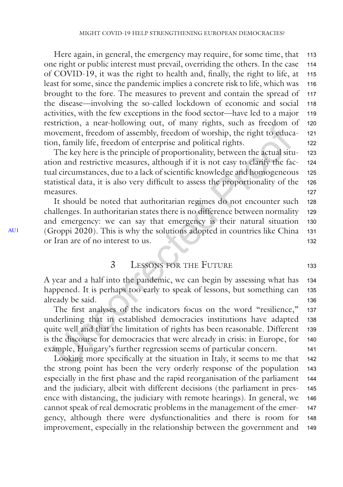<span id="page-5-0"></span>Here again, in general, the emergency may require, for some time, that one right or public interest must prevail, overriding the others. In the case of COVID-19, it was the right to health and, finally, the right to life, at least for some, since the pandemic implies a concrete risk to life, which was brought to the fore. The measures to prevent and contain the spread of the disease—involving the so-called lockdown of economic and social activities, with the few exceptions in the food sector—have led to a major restriction, a near-hollowing out, of many rights, such as freedom of movement, freedom of assembly, freedom of worship, the right to education, family life, freedom of enterprise and political rights. 113 114 115 116 117 118 119 120 121 122

The key here is the principle of proportionality, between the actual situation and restrictive measures, although if it is not easy to clarify the factual circumstances, due to a lack of scientific knowledge and homogeneous statistical data, it is also very difficult to assess the proportionality of the measures. 123 124 125 126 127

It should be noted that authoritarian regimes do not encounter such challenges. In authoritarian states there is no difference between normality and emergency: we can say that emergency is their natural situation (Groppi 2020). This is why the solutions adopted in countries like China or Iran are of no interest to us. 128 129 130 131 132

#### 3 Lessons for the Future

A year and a half into the pandemic, we can begin by assessing what has happened. It is perhaps too early to speak of lessons, but something can already be said. 134 135 136

The first analyses of the indicators focus on the word "resilience," underlining that in established democracies institutions have adapted quite well and that the limitation of rights has been reasonable. Different is the discourse for democracies that were already in crisis: in Europe, for example, Hungary's further regression seems of particular concern. 137 138 139 140 141

Looking more specifically at the situation in Italy, it seems to me that the strong point has been the very orderly response of the population especially in the first phase and the rapid reorganisation of the parliament and the judiciary, albeit with different decisions (the parliament in presence with distancing, the judiciary with remote hearings). In general, we cannot speak of real democratic problems in the management of the emergency, although there were dysfunctionalities and there is room for improvement, especially in the relationship between the government and 142 143 144 145 146 147 148 149

133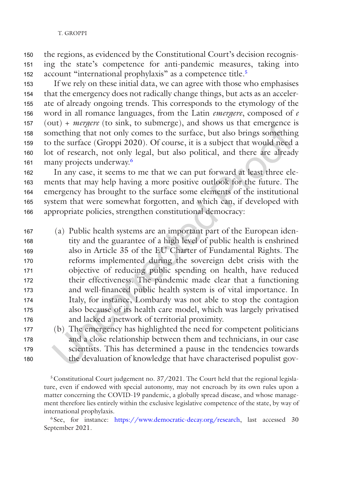the regions, as evidenced by the Constitutional Court's decision recognising the state's competence for anti-pandemic measures, taking into account "international prophylaxis" as a competence title.<sup>5</sup> 150 151 152

If we rely on these initial data, we can agree with those who emphasises that the emergency does not radically change things, but acts as an accelerate of already ongoing trends. This corresponds to the etymology of the word in all romance languages, from the Latin *emergere*, composed of *e* (out) + *mergere* (to sink, to submerge), and shows us that emergence is something that not only comes to the surface, but also brings something to the surface (Groppi 2020). Of course, it is a subject that would need a lot of research, not only legal, but also political, and there are already many projects underway.6 153 154 155 156 157 158 159 160 161

In any case, it seems to me that we can put forward at least three elements that may help having a more positive outlook for the future. The emergency has brought to the surface some elements of the institutional system that were somewhat forgotten, and which can, if developed with appropriate policies, strengthen constitutional democracy: 162 163 164 165 166

(a) Public health systems are an important part of the European identity and the guarantee of a high level of public health is enshrined also in Article 35 of the EU Charter of Fundamental Rights. The reforms implemented during the sovereign debt crisis with the objective of reducing public spending on health, have reduced their effectiveness. The pandemic made clear that a functioning and well-financed public health system is of vital importance. In Italy, for instance, Lombardy was not able to stop the contagion also because of its health care model, which was largely privatised and lacked a network of territorial proximity. 167 168 169 170 171 172 173 174 175 176

177 178 179 180

(b) The emergency has highlighted the need for competent politicians and a close relationship between them and technicians, in our case scientists. This has determined a pause in the tendencies towards the devaluation of knowledge that have characterised populist gov-

<sup>5</sup> Constitutional Court judgement no. 37/2021. The Court held that the regional legislature, even if endowed with special autonomy, may not encroach by its own rules upon a matter concerning the COVID-19 pandemic, a globally spread disease, and whose management therefore lies entirely within the exclusive legislative competence of the state, by way of international prophylaxis.

<sup>6</sup> See, for instance: [https://www.democratic-decay.org/research,](https://www.democratic-decay.org/research) last accessed 30 September 2021.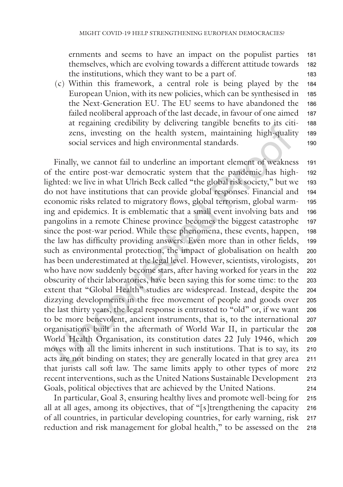ernments and seems to have an impact on the populist parties themselves, which are evolving towards a different attitude towards the institutions, which they want to be a part of. 181 182 183

(c) Within this framework, a central role is being played by the European Union, with its new policies, which can be synthesised in the Next-Generation EU. The EU seems to have abandoned the failed neoliberal approach of the last decade, in favour of one aimed at regaining credibility by delivering tangible benefits to its citizens, investing on the health system, maintaining high-quality social services and high environmental standards. 184 185 186 187 188 189 190

Finally, we cannot fail to underline an important element of weakness of the entire post-war democratic system that the pandemic has highlighted: we live in what Ulrich Beck called "the global risk society," but we do not have institutions that can provide global responses. Financial and economic risks related to migratory flows, global terrorism, global warming and epidemics. It is emblematic that a small event involving bats and pangolins in a remote Chinese province becomes the biggest catastrophe since the post-war period. While these phenomena, these events, happen, the law has difficulty providing answers. Even more than in other fields, such as environmental protection, the impact of globalisation on health has been underestimated at the legal level. However, scientists, virologists, who have now suddenly become stars, after having worked for years in the obscurity of their laboratories, have been saying this for some time: to the extent that "Global Health" studies are widespread. Instead, despite the dizzying developments in the free movement of people and goods over the last thirty years, the legal response is entrusted to "old" or, if we want to be more benevolent, ancient instruments, that is, to the international organisations built in the aftermath of World War II, in particular the World Health Organisation, its constitution dates 22 July 1946, which moves with all the limits inherent in such institutions. That is to say, its acts are not binding on states; they are generally located in that grey area that jurists call soft law. The same limits apply to other types of more recent interventions, such as the United Nations Sustainable Development Goals, political objectives that are achieved by the United Nations. 191 192 193 194 195 196 197 198 199 200 201 202 203 204 205 206 207 208 209 210 211 212 213 214

In particular, Goal 3, ensuring healthy lives and promote well-being for all at all ages, among its objectives, that of "[s]trengthening the capacity of all countries, in particular developing countries, for early warning, risk reduction and risk management for global health," to be assessed on the 215 216 217 218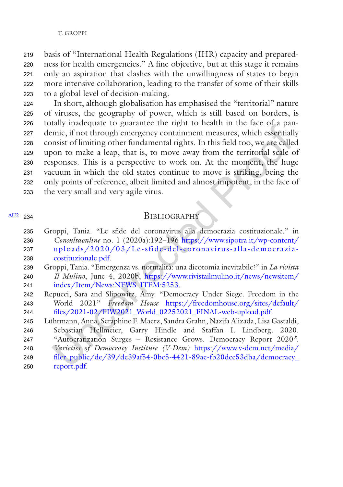#### T. GROPPI

<span id="page-8-0"></span>basis of "International Health Regulations (IHR) capacity and preparedness for health emergencies." A fine objective, but at this stage it remains only an aspiration that clashes with the unwillingness of states to begin more intensive collaboration, leading to the transfer of some of their skills to a global level of decision-making. 219 220 221 222 223

In short, although globalisation has emphasised the "territorial" nature of viruses, the geography of power, which is still based on borders, is totally inadequate to guarantee the right to health in the face of a pandemic, if not through emergency containment measures, which essentially consist of limiting other fundamental rights. In this field too, we are called upon to make a leap, that is, to move away from the territorial scale of responses. This is a perspective to work on. At the moment, the huge vacuum in which the old states continue to move is striking, being the only points of reference, albeit limited and almost impotent, in the face of the very small and very agile virus. 224 225 226 227 228 229 230 231 232 233

#### [AU2](#page-9-0) 234

#### **BIBLIOGRAPHY**

- Groppi, Tania. "Le sfide del coronavirus alla democrazia costituzionale." in *Consultaonline* no. 1 (2020a):192–196 [https://www.sipotra.it/wp-content/](https://www.sipotra.it/wp-content/uploads/2020/03/Le-sfide-del-coronavirus-alla-democrazia-costituzionale.pdf) [uploads/2020/03/Le-sfide-del-](https://www.sipotra.it/wp-content/uploads/2020/03/Le-sfide-del-coronavirus-alla-democrazia-costituzionale.pdf) coronavirus- alla-democrazia[costituzionale.pdf.](https://www.sipotra.it/wp-content/uploads/2020/03/Le-sfide-del-coronavirus-alla-democrazia-costituzionale.pdf) 235 236 237 238
- Groppi, Tania. "Emergenza vs. normalità: una dicotomia inevitabile?" in *La rivista Il Mulino*, June 4, 2020b, [https://www.rivistailmulino.it/news/newsitem/](https://www.rivistailmulino.it/news/newsitem/index/Item/News:NEWS_ITEM:5253) [index/Item/News:NEWS\\_ITEM:5253](https://www.rivistailmulino.it/news/newsitem/index/Item/News:NEWS_ITEM:5253). 239 240 241
- Repucci, Sara and Slipowitz, Amy. "Democracy Under Siege. Freedom in the World 2021" *Freedom House* [https://freedomhouse.org/sites/default/](https://freedomhouse.org/sites/default/files/2021-02/FIW2021_World_02252021_FINAL-web-upload.pdf) [files/2021-02/FIW2021\\_World\\_02252021\\_FINAL-web-upload.pdf.](https://freedomhouse.org/sites/default/files/2021-02/FIW2021_World_02252021_FINAL-web-upload.pdf) 242 243 244
- Lührmann, Anna, Seraphine F. Maerz, Sandra Grahn, Nazifa Alizada, Lisa Gastaldi, Sebastian Hellmeier, Garry Hindle and Staffan I. Lindberg. 2020. "Autocratization Surges – Resistance Grows. Democracy Report 2020*"*. *Varieties of Democracy Institute (V-Dem)* [https://www.v-dem.net/media/](https://www.v-dem.net/media/filer_public/de/39/de39af54-0bc5-4421-89ae-fb20dcc53dba/democracy_report.pdf) 245 246 247 248
- filer\_public/de/39/de39af54-0bc5-4421-89ae-fb20dcc53dba/democracy 249
- [report.pdf.](https://www.v-dem.net/media/filer_public/de/39/de39af54-0bc5-4421-89ae-fb20dcc53dba/democracy_report.pdf) 250